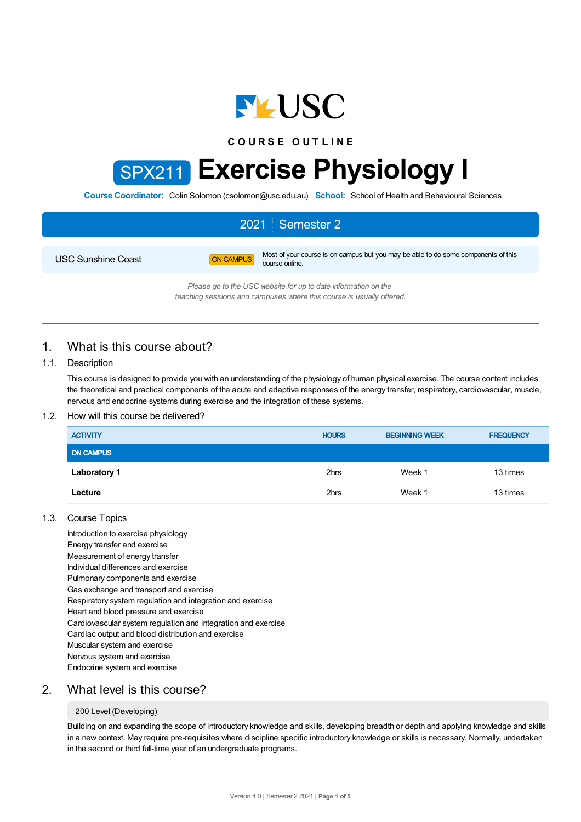

**C O U R S E O U T L I N E**

# SPX211 **Exercise Physiology I**

**Course Coordinator:** Colin Solomon (csolomon@usc.edu.au) **School:** School of Health and Behavioural Sciences

# 2021 Semester 2

USC Sunshine Coast **ON CAMPUS** Most of your course is on campus but you may be able to do some components of this course online.

> *Please go to the USC website for up to date information on the teaching sessions and campuses where this course is usually offered.*

# 1. What is this course about?

## 1.1. Description

This course is designed to provide you with an understanding of the physiology of human physical exercise. The course content includes the theoretical and practical components of the acute and adaptive responses of the energy transfer, respiratory, cardiovascular, muscle, nervous and endocrine systems during exercise and the integration of these systems.

## 1.2. How will this course be delivered?

| <b>ACTIVITY</b>     | <b>HOURS</b> | <b>BEGINNING WEEK</b> | <b>FREQUENCY</b> |
|---------------------|--------------|-----------------------|------------------|
| <b>ON CAMPUS</b>    |              |                       |                  |
| <b>Laboratory 1</b> | 2hrs         | Week 1                | 13 times         |
| Lecture             | 2hrs         | Week 1                | 13 times         |

## 1.3. Course Topics

Introduction to exercise physiology Energy transfer and exercise Measurement of energy transfer Individual differences and exercise Pulmonary components and exercise Gas exchange and transport and exercise Respiratory system regulation and integration and exercise Heart and blood pressure and exercise Cardiovascular system regulation and integration and exercise Cardiac output and blood distribution and exercise Muscular system and exercise Nervous system and exercise Endocrine system and exercise

# 2. What level is this course?

#### 200 Level (Developing)

Building on and expanding the scope of introductory knowledge and skills, developing breadth or depth and applying knowledge and skills in a new context. May require pre-requisites where discipline specific introductory knowledge or skills is necessary. Normally, undertaken in the second or third full-time year of an undergraduate programs.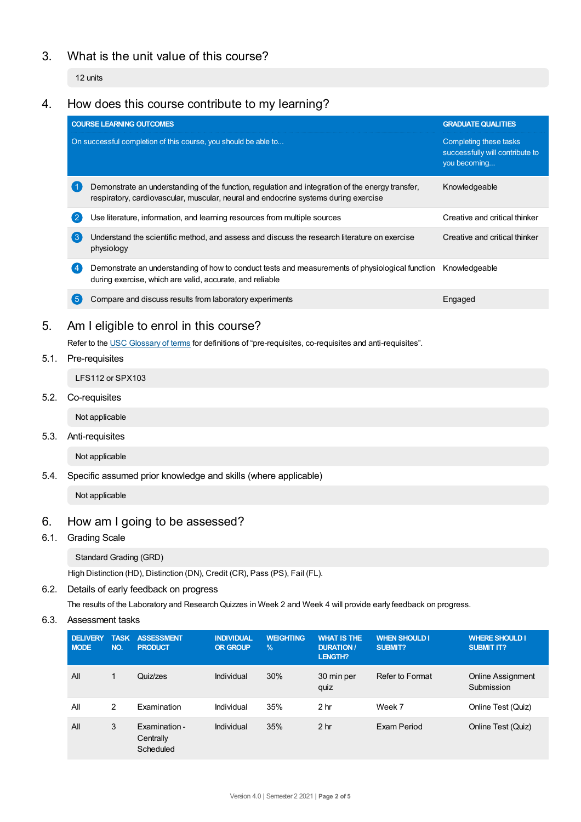# 3. What is the unit value of this course?

12 units

# 4. How does this course contribute to my learning?

|   | <b>COURSE LEARNING OUTCOMES</b>                                                                                                                                                         | <b>GRADUATE QUALITIES</b>                                                 |  |
|---|-----------------------------------------------------------------------------------------------------------------------------------------------------------------------------------------|---------------------------------------------------------------------------|--|
|   | On successful completion of this course, you should be able to                                                                                                                          | Completing these tasks<br>successfully will contribute to<br>you becoming |  |
|   | Demonstrate an understanding of the function, regulation and integration of the energy transfer,<br>respiratory, cardiovascular, muscular, neural and endocrine systems during exercise | Knowledgeable                                                             |  |
| 2 | Use literature, information, and learning resources from multiple sources                                                                                                               | Creative and critical thinker                                             |  |
| 3 | Understand the scientific method, and assess and discuss the research literature on exercise<br>physiology                                                                              | Creative and critical thinker                                             |  |
|   | Demonstrate an understanding of how to conduct tests and measurements of physiological function<br>during exercise, which are valid, accurate, and reliable                             | Knowledgeable                                                             |  |
| 5 | Compare and discuss results from laboratory experiments                                                                                                                                 | Engaged                                                                   |  |

# 5. Am Ieligible to enrol in this course?

Refer to the USC [Glossary](https://www.usc.edu.au/about/policies-and-procedures/glossary-of-terms-for-policy-and-procedures) of terms for definitions of "pre-requisites, co-requisites and anti-requisites".

# 5.1. Pre-requisites

LFS112 or SPX103

5.2. Co-requisites

Not applicable

5.3. Anti-requisites

Not applicable

5.4. Specific assumed prior knowledge and skills (where applicable)

Not applicable

# 6. How am Igoing to be assessed?

# 6.1. Grading Scale

Standard Grading (GRD)

High Distinction (HD), Distinction (DN), Credit (CR), Pass (PS), Fail (FL).

## 6.2. Details of early feedback on progress

The results of the Laboratory and ResearchQuizzes in Week 2 and Week 4 will provide early feedback on progress.

## 6.3. Assessment tasks

| <b>DELIVERY</b><br><b>MODE</b> | <b>TASK</b><br>NO. | <b>ASSESSMENT</b><br><b>PRODUCT</b>     | <b>INDIVIDUAL</b><br><b>OR GROUP</b> | <b>WEIGHTING</b><br>$\frac{9}{6}$ | <b>WHAT IS THE</b><br><b>DURATION /</b><br><b>LENGTH?</b> | <b>WHEN SHOULD I</b><br>SUBMIT? | <b>WHERE SHOULD I</b><br><b>SUBMIT IT?</b> |
|--------------------------------|--------------------|-----------------------------------------|--------------------------------------|-----------------------------------|-----------------------------------------------------------|---------------------------------|--------------------------------------------|
| All                            | 1                  | Quiz/zes                                | Individual                           | 30%                               | 30 min per<br>quiz                                        | Refer to Format                 | <b>Online Assignment</b><br>Submission     |
| All                            | 2                  | Examination                             | Individual                           | 35%                               | 2 <sub>hr</sub>                                           | Week 7                          | Online Test (Quiz)                         |
| All                            | 3                  | Examination -<br>Centrally<br>Scheduled | Individual                           | 35%                               | 2 <sub>hr</sub>                                           | Exam Period                     | Online Test (Quiz)                         |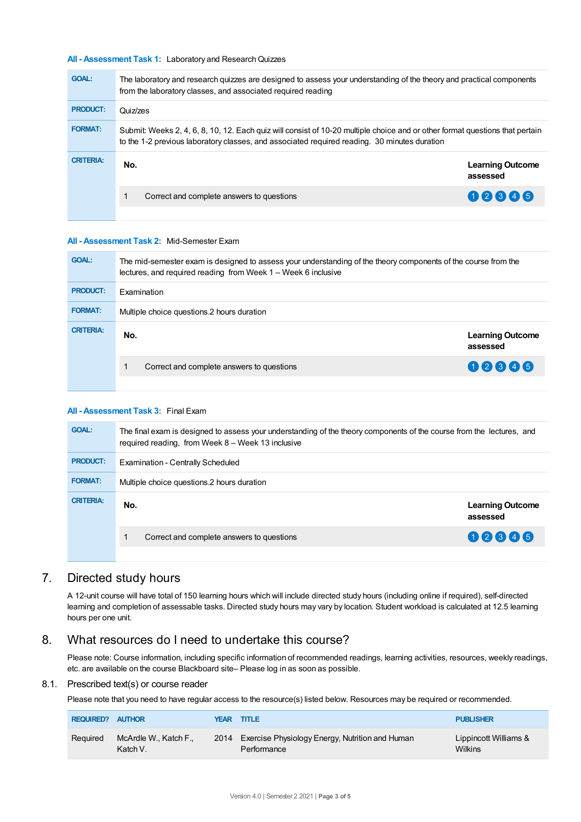## **All - Assessment Task 1:** Laboratory and ResearchQuizzes

| <b>GOAL:</b>     | The laboratory and research quizzes are designed to assess your understanding of the theory and practical components<br>from the laboratory classes, and associated required reading                                         |                                     |  |  |  |  |
|------------------|------------------------------------------------------------------------------------------------------------------------------------------------------------------------------------------------------------------------------|-------------------------------------|--|--|--|--|
| <b>PRODUCT:</b>  | Quiz/zes                                                                                                                                                                                                                     |                                     |  |  |  |  |
| <b>FORMAT:</b>   | Submit: Weeks 2, 4, 6, 8, 10, 12. Each quiz will consist of 10-20 multiple choice and or other format questions that pertain<br>to the 1-2 previous laboratory classes, and associated required reading. 30 minutes duration |                                     |  |  |  |  |
| <b>CRITERIA:</b> | No.                                                                                                                                                                                                                          | <b>Learning Outcome</b><br>assessed |  |  |  |  |
|                  | Correct and complete answers to questions                                                                                                                                                                                    | 02845                               |  |  |  |  |
|                  |                                                                                                                                                                                                                              |                                     |  |  |  |  |

#### **All - Assessment Task 2:** Mid-Semester Exam

| <b>GOAL:</b>     | The mid-semester exam is designed to assess your understanding of the theory components of the course from the<br>lectures, and required reading from Week 1 – Week 6 inclusive |                                     |  |  |  |  |
|------------------|---------------------------------------------------------------------------------------------------------------------------------------------------------------------------------|-------------------------------------|--|--|--|--|
| <b>PRODUCT:</b>  | <b>Examination</b>                                                                                                                                                              |                                     |  |  |  |  |
| <b>FORMAT:</b>   | Multiple choice questions. 2 hours duration                                                                                                                                     |                                     |  |  |  |  |
| <b>CRITERIA:</b> | No.                                                                                                                                                                             | <b>Learning Outcome</b><br>assessed |  |  |  |  |
|                  | Correct and complete answers to questions                                                                                                                                       | 02345                               |  |  |  |  |
|                  |                                                                                                                                                                                 |                                     |  |  |  |  |

#### **All - Assessment Task 3:** Final Exam

| <b>GOAL:</b>     | The final exam is designed to assess your understanding of the theory components of the course from the lectures, and<br>required reading, from Week 8 - Week 13 inclusive |                                     |  |  |  |  |
|------------------|----------------------------------------------------------------------------------------------------------------------------------------------------------------------------|-------------------------------------|--|--|--|--|
| <b>PRODUCT:</b>  | Examination - Centrally Scheduled                                                                                                                                          |                                     |  |  |  |  |
| <b>FORMAT:</b>   | Multiple choice questions.2 hours duration                                                                                                                                 |                                     |  |  |  |  |
| <b>CRITERIA:</b> | No.                                                                                                                                                                        | <b>Learning Outcome</b><br>assessed |  |  |  |  |
|                  | Correct and complete answers to questions                                                                                                                                  | 02345                               |  |  |  |  |
|                  |                                                                                                                                                                            |                                     |  |  |  |  |

# 7. Directed study hours

A 12-unit course will have total of 150 learning hours which will include directed study hours (including online if required), self-directed learning and completion of assessable tasks. Directed study hours may vary by location. Student workload is calculated at 12.5 learning hours per one unit.

# 8. What resources do I need to undertake this course?

Please note: Course information, including specific information of recommended readings, learning activities, resources, weekly readings, etc. are available on the course Blackboard site– Please log in as soon as possible.

## 8.1. Prescribed text(s) or course reader

Please note that you need to have regular access to the resource(s) listed below. Resources may be required or recommended.

| <b>REQUIRED? AUTHOR</b> |                                   | YEAR | TITLE                                                               | <b>PUBLISHER</b>                        |
|-------------------------|-----------------------------------|------|---------------------------------------------------------------------|-----------------------------------------|
| Reguired                | McArdle W., Katch F.,<br>Katch V. |      | 2014 Exercise Physiology Energy, Nutrition and Human<br>Performance | Lippincott Williams &<br><b>Wilkins</b> |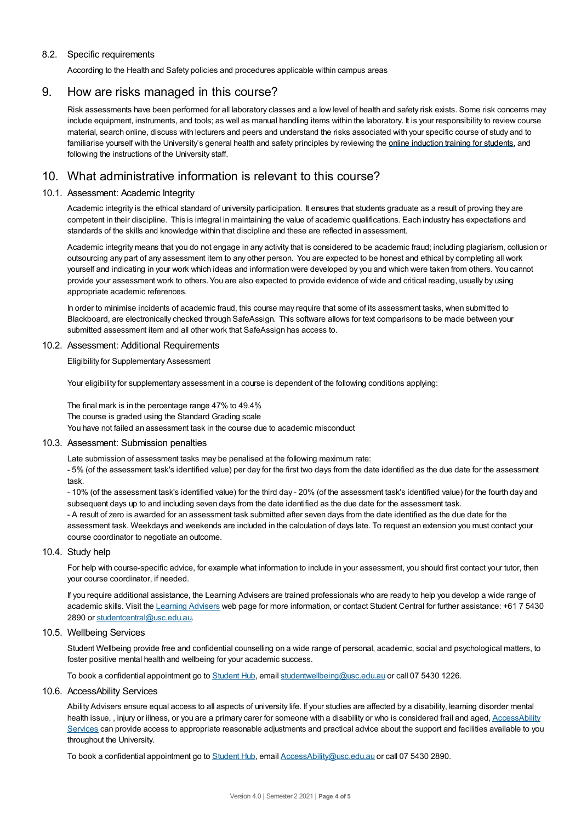## 8.2. Specific requirements

According to the Health and Safety policies and procedures applicable within campus areas

# 9. How are risks managed in this course?

Risk assessments have been performed for all laboratory classes and a low level of health and safety risk exists. Some risk concerns may include equipment, instruments, and tools; as well as manual handling items within the laboratory. It is your responsibility to review course material, search online, discuss with lecturers and peers and understand the risks associated with your specific course of study and to familiarise yourself with the University's general health and safety principles by reviewing the online [induction](https://online.usc.edu.au/webapps/blackboard/content/listContentEditable.jsp?content_id=_632657_1&course_id=_14432_1) training for students, and following the instructions of the University staff.

# 10. What administrative information is relevant to this course?

## 10.1. Assessment: Academic Integrity

Academic integrity is the ethical standard of university participation. It ensures that students graduate as a result of proving they are competent in their discipline. This is integral in maintaining the value of academic qualifications. Each industry has expectations and standards of the skills and knowledge within that discipline and these are reflected in assessment.

Academic integrity means that you do not engage in any activity that is considered to be academic fraud; including plagiarism, collusion or outsourcing any part of any assessment item to any other person. You are expected to be honest and ethical by completing all work yourself and indicating in your work which ideas and information were developed by you and which were taken from others. You cannot provide your assessment work to others.You are also expected to provide evidence of wide and critical reading, usually by using appropriate academic references.

In order to minimise incidents of academic fraud, this course may require that some of its assessment tasks, when submitted to Blackboard, are electronically checked through SafeAssign. This software allows for text comparisons to be made between your submitted assessment item and all other work that SafeAssign has access to.

#### 10.2. Assessment: Additional Requirements

Eligibility for Supplementary Assessment

Your eligibility for supplementary assessment in a course is dependent of the following conditions applying:

The final mark is in the percentage range 47% to 49.4% The course is graded using the Standard Grading scale You have not failed an assessment task in the course due to academic misconduct

#### 10.3. Assessment: Submission penalties

Late submission of assessment tasks may be penalised at the following maximum rate:

- 5% (of the assessment task's identified value) per day for the first two days from the date identified as the due date for the assessment task.

- 10% (of the assessment task's identified value) for the third day - 20% (of the assessment task's identified value) for the fourth day and subsequent days up to and including seven days from the date identified as the due date for the assessment task. - A result of zero is awarded for an assessment task submitted after seven days from the date identified as the due date for the assessment task. Weekdays and weekends are included in the calculation of days late. To request an extension you must contact your course coordinator to negotiate an outcome.

#### 10.4. Study help

For help with course-specific advice, for example what information to include in your assessment, you should first contact your tutor, then your course coordinator, if needed.

If you require additional assistance, the Learning Advisers are trained professionals who are ready to help you develop a wide range of academic skills. Visit the Learning [Advisers](https://www.usc.edu.au/current-students/student-support/academic-and-study-support/learning-advisers) web page for more information, or contact Student Central for further assistance: +61 7 5430 2890 or [studentcentral@usc.edu.au](mailto:studentcentral@usc.edu.au).

## 10.5. Wellbeing Services

Student Wellbeing provide free and confidential counselling on a wide range of personal, academic, social and psychological matters, to foster positive mental health and wellbeing for your academic success.

To book a confidential appointment go to [Student](https://studenthub.usc.edu.au/) Hub, email [studentwellbeing@usc.edu.au](mailto:studentwellbeing@usc.edu.au) or call 07 5430 1226.

## 10.6. AccessAbility Services

Ability Advisers ensure equal access to all aspects of university life. If your studies are affected by a disability, learning disorder mental health issue,, injury or illness, or you are a primary carer for someone with a disability or who is considered frail and aged, [AccessAbility](https://www.usc.edu.au/learn/student-support/accessability-services/documentation-requirements) Services can provide access to appropriate reasonable adjustments and practical advice about the support and facilities available to you throughout the University.

To book a confidential appointment go to [Student](https://studenthub.usc.edu.au/) Hub, email [AccessAbility@usc.edu.au](mailto:AccessAbility@usc.edu.au) or call 07 5430 2890.